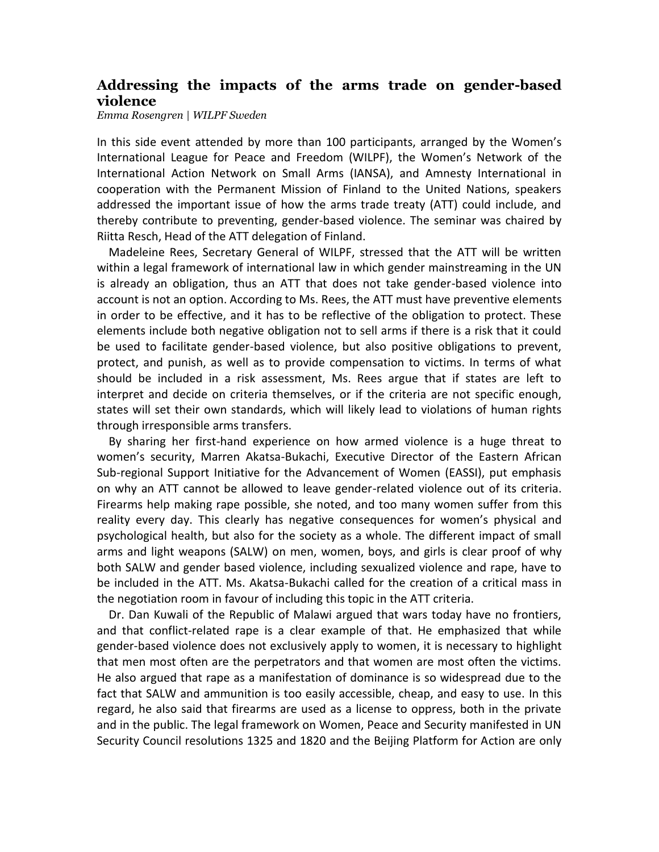## **Addressing the impacts of the arms trade on gender-based violence**

*Emma Rosengren | WILPF Sweden*

In this side event attended by more than 100 participants, arranged by the Women's International League for Peace and Freedom (WILPF), the Women's Network of the International Action Network on Small Arms (IANSA), and Amnesty International in cooperation with the Permanent Mission of Finland to the United Nations, speakers addressed the important issue of how the arms trade treaty (ATT) could include, and thereby contribute to preventing, gender-based violence. The seminar was chaired by Riitta Resch, Head of the ATT delegation of Finland.

Madeleine Rees, Secretary General of WILPF, stressed that the ATT will be written within a legal framework of international law in which gender mainstreaming in the UN is already an obligation, thus an ATT that does not take gender-based violence into account is not an option. According to Ms. Rees, the ATT must have preventive elements in order to be effective, and it has to be reflective of the obligation to protect. These elements include both negative obligation not to sell arms if there is a risk that it could be used to facilitate gender-based violence, but also positive obligations to prevent, protect, and punish, as well as to provide compensation to victims. In terms of what should be included in a risk assessment, Ms. Rees argue that if states are left to interpret and decide on criteria themselves, or if the criteria are not specific enough, states will set their own standards, which will likely lead to violations of human rights through irresponsible arms transfers.

By sharing her first-hand experience on how armed violence is a huge threat to women's security, Marren Akatsa-Bukachi, Executive Director of the Eastern African Sub-regional Support Initiative for the Advancement of Women (EASSI), put emphasis on why an ATT cannot be allowed to leave gender-related violence out of its criteria. Firearms help making rape possible, she noted, and too many women suffer from this reality every day. This clearly has negative consequences for women's physical and psychological health, but also for the society as a whole. The different impact of small arms and light weapons (SALW) on men, women, boys, and girls is clear proof of why both SALW and gender based violence, including sexualized violence and rape, have to be included in the ATT. Ms. Akatsa-Bukachi called for the creation of a critical mass in the negotiation room in favour of including this topic in the ATT criteria.

Dr. Dan Kuwali of the Republic of Malawi argued that wars today have no frontiers, and that conflict-related rape is a clear example of that. He emphasized that while gender-based violence does not exclusively apply to women, it is necessary to highlight that men most often are the perpetrators and that women are most often the victims. He also argued that rape as a manifestation of dominance is so widespread due to the fact that SALW and ammunition is too easily accessible, cheap, and easy to use. In this regard, he also said that firearms are used as a license to oppress, both in the private and in the public. The legal framework on Women, Peace and Security manifested in UN Security Council resolutions 1325 and 1820 and the Beijing Platform for Action are only